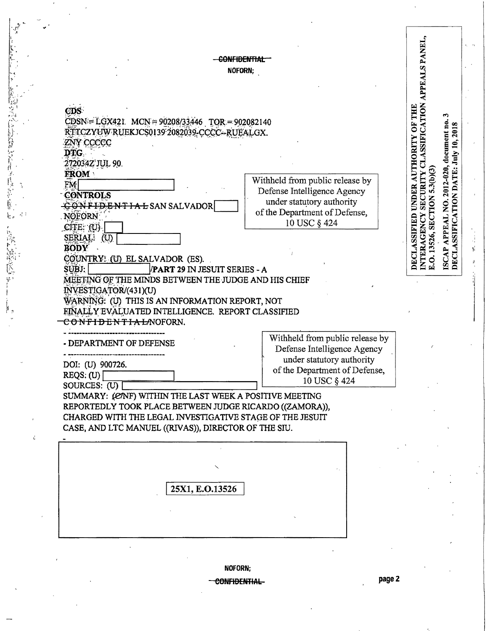-CONFIDENTIAL-NOFORN;

冷却 シントル

Ŕ

**DECLASSIFIED UNDER AUTHORITY OF THE** CDS<sup>-</sup>  $CDSN = LGX421$ .  $MCN = 90208/33446$   $TOR = 902082140$ RTTCZYUW RUEKICS0139 2082039-CCCC--RUEALGX. ZNY CCCCC DTG. 272034Z'JUL 90. **FROM** Withheld from public release by  $EM$ Defense Intelligence Agency **CONTROLS** under statutory authority CONFIDENTIAL SAN SALVADOR of the Department of Defense, NOFORN 10 USC § 424  $CITE: (U)$ SERIAL: (U) **BODY** COUNTRY: (U) EL SALVADOR (ES). SUBJ: **PART 29 IN JESUIT SERIES - A** MEETING OF THE MINDS BETWEEN THE JUDGE AND HIS CHIEF INVESTIGATOR/(431)(U) WARNING: (U) THIS IS AN INFORMATION REPORT, NOT EINALLY EVALUATED INTELLIGENCE. REPORT CLASSIFIED CONFIDENTIALMOFORN. Withheld from public release by - DEPARTMENT OF DEFENSE Defense Intelligence Agency under statutory authority DOI: (U) 900726. of the Department of Defense,  $REGS: (U)$ 10 USC § 424 SOURCES:  $(U)$ SUMMARY: (ENF) WITHIN THE LAST WEEK A POSITIVE MEETING REPORTEDLY TOOK PLACE BETWEEN JUDGE RICARDO ((ZAMORA)), CHARGED WITH THE LEGAL INVESTIGATIVE STAGE OF THE JESUIT CASE, AND LTC MANUEL ((RIVAS)), DIRECTOR OF THE SIU. 25X1, E.O.13526

NOFORN:

<del>CONFIDENTIAL</del>

NTERAGENCY SECURITY CLASSIFICATION APPEALS PANEL,

E.O. 13526, SECTION 5.3(b)(3)

ఌ

ISCAP APPEAL NO. 2012-020, document no.<br>DECLASSIFICATION DATE: July 10, 2018

Ĵ,

YÊ.